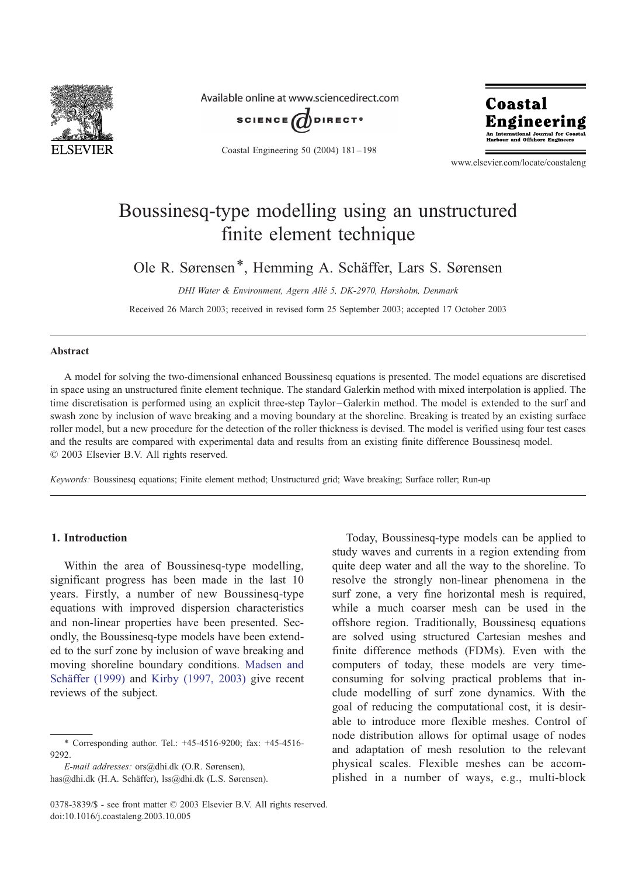

Available online at www.sciencedirect.com



Coastal Engineering 50 (2004) 181 – 198



www.elsevier.com/locate/coastaleng

# Boussinesq-type modelling using an unstructured finite element technique

Ole R. Sørensen\*, Hemming A. Schäffer, Lars S. Sørensen

DHI Water & Environment, Agern Allé 5, DK-2970, Hørsholm, Denmark

Received 26 March 2003; received in revised form 25 September 2003; accepted 17 October 2003

#### Abstract

A model for solving the two-dimensional enhanced Boussinesq equations is presented. The model equations are discretised in space using an unstructured finite element technique. The standard Galerkin method with mixed interpolation is applied. The time discretisation is performed using an explicit three-step Taylor –Galerkin method. The model is extended to the surf and swash zone by inclusion of wave breaking and a moving boundary at the shoreline. Breaking is treated by an existing surface roller model, but a new procedure for the detection of the roller thickness is devised. The model is verified using four test cases and the results are compared with experimental data and results from an existing finite difference Boussinesq model.  $\odot$  2003 Elsevier B.V. All rights reserved.

Keywords: Boussinesq equations; Finite element method; Unstructured grid; Wave breaking; Surface roller; Run-up

### 1. Introduction

Within the area of Boussinesq-type modelling, significant progress has been made in the last 10 years. Firstly, a number of new Boussinesq-type equations with improved dispersion characteristics and non-linear properties have been presented. Secondly, the Boussinesq-type models have been extended to the surf zone by inclusion of wave breaking and moving shoreline boundary conditions. [Madsen and](#page-16-0) Schäffer (1999) and [Kirby \(1997, 2003\)](#page-16-0) give recent reviews of the subject.

study waves and currents in a region extending from quite deep water and all the way to the shoreline. To resolve the strongly non-linear phenomena in the surf zone, a very fine horizontal mesh is required, while a much coarser mesh can be used in the offshore region. Traditionally, Boussinesq equations are solved using structured Cartesian meshes and finite difference methods (FDMs). Even with the computers of today, these models are very timeconsuming for solving practical problems that include modelling of surf zone dynamics. With the goal of reducing the computational cost, it is desirable to introduce more flexible meshes. Control of node distribution allows for optimal usage of nodes and adaptation of mesh resolution to the relevant physical scales. Flexible meshes can be accomplished in a number of ways, e.g., multi-block

Today, Boussinesq-type models can be applied to

<sup>\*</sup> Corresponding author. Tel.: +45-4516-9200; fax: +45-4516- 9292.

E-mail addresses: ors@dhi.dk (O.R. Sørensen),

has@dhi.dk (H.A. Schäffer), lss@dhi.dk (L.S. Sørensen).

<sup>0378-3839/\$ -</sup> see front matter © 2003 Elsevier B.V. All rights reserved. doi:10.1016/j.coastaleng.2003.10.005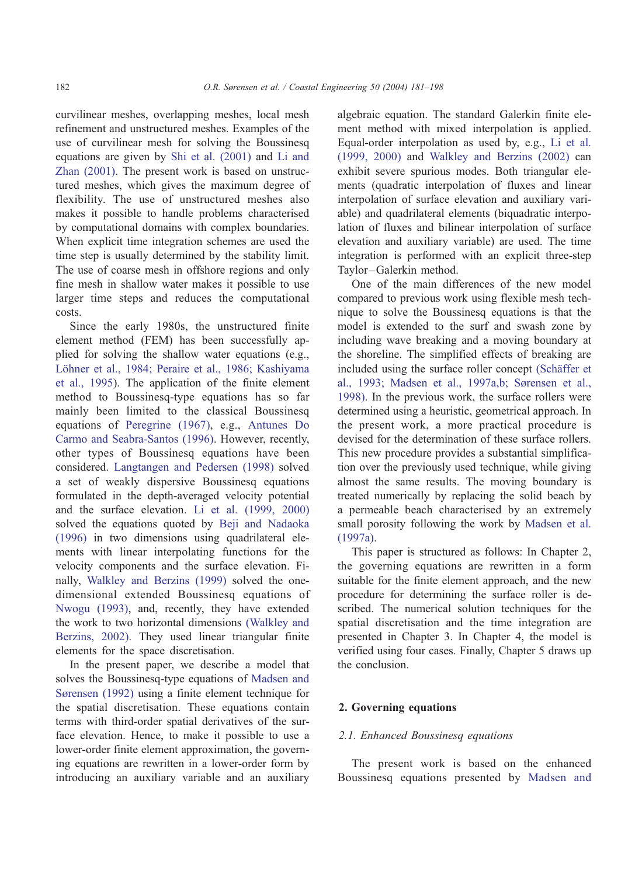curvilinear meshes, overlapping meshes, local mesh refinement and unstructured meshes. Examples of the use of curvilinear mesh for solving the Boussinesq equations are given by [Shi et al. \(2001\)](#page-16-0) and [Li and](#page-16-0) Zhan (2001). The present work is based on unstructured meshes, which gives the maximum degree of flexibility. The use of unstructured meshes also makes it possible to handle problems characterised by computational domains with complex boundaries. When explicit time integration schemes are used the time step is usually determined by the stability limit. The use of coarse mesh in offshore regions and only fine mesh in shallow water makes it possible to use larger time steps and reduces the computational costs.

Since the early 1980s, the unstructured finite element method (FEM) has been successfully applied for solving the shallow water equations (e.g., Löhner et al., 1984; Peraire et al., 1986; Kashiyama et al., 1995). The application of the finite element method to Boussinesq-type equations has so far mainly been limited to the classical Boussinesq equations of [Peregrine \(1967\),](#page-16-0) e.g., [Antunes Do](#page-16-0) Carmo and Seabra-Santos (1996). However, recently, other types of Boussinesq equations have been considered. [Langtangen and Pedersen \(1998\)](#page-16-0) solved a set of weakly dispersive Boussinesq equations formulated in the depth-averaged velocity potential and the surface elevation. [Li et al. \(1999, 2000\)](#page-16-0) solved the equations quoted by [Beji and Nadaoka](#page-16-0) (1996) in two dimensions using quadrilateral elements with linear interpolating functions for the velocity components and the surface elevation. Finally, [Walkley and Berzins \(1999\)](#page-17-0) solved the onedimensional extended Boussinesq equations of [Nwogu \(1993\),](#page-16-0) and, recently, they have extended the work to two horizontal dimensions [\(Walkley and](#page-17-0) Berzins, 2002). They used linear triangular finite elements for the space discretisation.

In the present paper, we describe a model that solves the Boussinesq-type equations of [Madsen and](#page-16-0) Sørensen (1992) using a finite element technique for the spatial discretisation. These equations contain terms with third-order spatial derivatives of the surface elevation. Hence, to make it possible to use a lower-order finite element approximation, the governing equations are rewritten in a lower-order form by introducing an auxiliary variable and an auxiliary algebraic equation. The standard Galerkin finite element method with mixed interpolation is applied. Equal-order interpolation as used by, e.g., [Li et al.](#page-16-0) (1999, 2000) and [Walkley and Berzins \(2002\)](#page-17-0) can exhibit severe spurious modes. Both triangular elements (quadratic interpolation of fluxes and linear interpolation of surface elevation and auxiliary variable) and quadrilateral elements (biquadratic interpolation of fluxes and bilinear interpolation of surface elevation and auxiliary variable) are used. The time integration is performed with an explicit three-step Taylor –Galerkin method.

One of the main differences of the new model compared to previous work using flexible mesh technique to solve the Boussinesq equations is that the model is extended to the surf and swash zone by including wave breaking and a moving boundary at the shoreline. The simplified effects of breaking are included using the surface roller concept (Schäffer et al., 1993; Madsen et al., 1997a,b; Sørensen et al., 1998). In the previous work, the surface rollers were determined using a heuristic, geometrical approach. In the present work, a more practical procedure is devised for the determination of these surface rollers. This new procedure provides a substantial simplification over the previously used technique, while giving almost the same results. The moving boundary is treated numerically by replacing the solid beach by a permeable beach characterised by an extremely small porosity following the work by [Madsen et al.](#page-16-0) (1997a).

This paper is structured as follows: In Chapter 2, the governing equations are rewritten in a form suitable for the finite element approach, and the new procedure for determining the surface roller is described. The numerical solution techniques for the spatial discretisation and the time integration are presented in Chapter 3. In Chapter 4, the model is verified using four cases. Finally, Chapter 5 draws up the conclusion.

# 2. Governing equations

#### 2.1. Enhanced Boussinesq equations

The present work is based on the enhanced Boussinesq equations presented by [Madsen and](#page-16-0)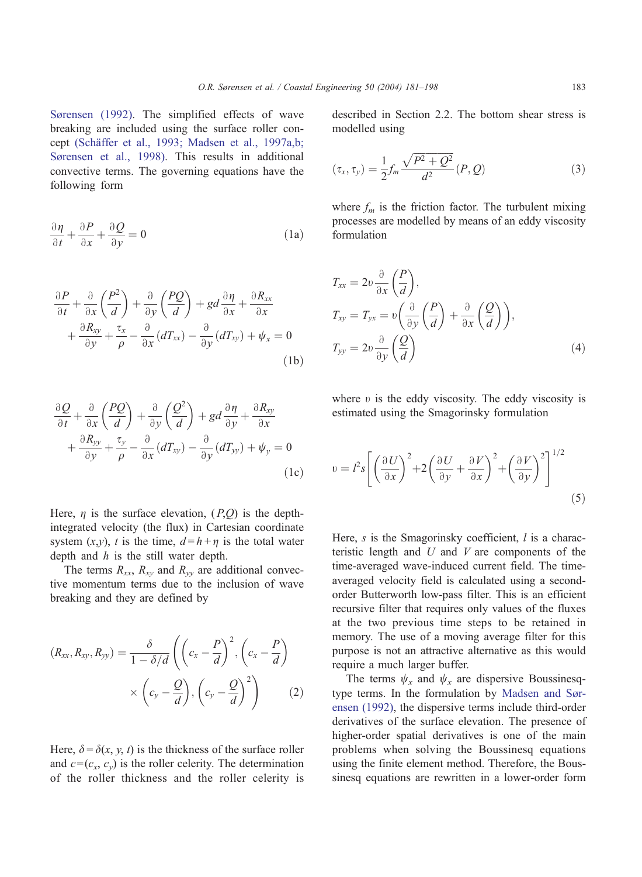Sørensen (1992). The simplified effects of wave breaking are included using the surface roller concept (Schäffer et al., 1993; Madsen et al., 1997a,b; Sørensen et al., 1998). This results in additional convective terms. The governing equations have the following form

$$
\frac{\partial \eta}{\partial t} + \frac{\partial P}{\partial x} + \frac{\partial Q}{\partial y} = 0
$$
 (1a)

$$
\frac{\partial P}{\partial t} + \frac{\partial}{\partial x} \left( \frac{P^2}{d} \right) + \frac{\partial}{\partial y} \left( \frac{PQ}{d} \right) + gd \frac{\partial \eta}{\partial x} + \frac{\partial R_{xx}}{\partial x} \n+ \frac{\partial R_{xy}}{\partial y} + \frac{\tau_x}{\rho} - \frac{\partial}{\partial x} (dT_{xx}) - \frac{\partial}{\partial y} (dT_{xy}) + \psi_x = 0
$$
\n(1b)

$$
\frac{\partial Q}{\partial t} + \frac{\partial}{\partial x} \left( \frac{PQ}{d} \right) + \frac{\partial}{\partial y} \left( \frac{Q^2}{d} \right) + gd \frac{\partial \eta}{\partial y} + \frac{\partial R_{xy}}{\partial x} \n+ \frac{\partial R_{yy}}{\partial y} + \frac{\tau_y}{\rho} - \frac{\partial}{\partial x} (dT_{xy}) - \frac{\partial}{\partial y} (dT_{yy}) + \psi_y = 0
$$
\n(1c)

Here,  $\eta$  is the surface elevation,  $(P,Q)$  is the depthintegrated velocity (the flux) in Cartesian coordinate system  $(x,y)$ , t is the time,  $d = h + \eta$  is the total water depth and  $h$  is the still water depth.

The terms  $R_{xx}$ ,  $R_{xy}$  and  $R_{yy}$  are additional convective momentum terms due to the inclusion of wave breaking and they are defined by

$$
(R_{xx}, R_{xy}, R_{yy}) = \frac{\delta}{1 - \delta/d} \left( \left( c_x - \frac{P}{d} \right)^2, \left( c_x - \frac{P}{d} \right) \times \left( c_y - \frac{Q}{d} \right), \left( c_y - \frac{Q}{d} \right)^2 \right) \tag{2}
$$

Here,  $\delta = \delta(x, y, t)$  is the thickness of the surface roller and  $c = (c_x, c_y)$  is the roller celerity. The determination of the roller thickness and the roller celerity is

described in Section 2.2. The bottom shear stress is modelled using

$$
(\tau_x, \tau_y) = \frac{1}{2} f_m \frac{\sqrt{P^2 + Q^2}}{d^2} (P, Q)
$$
 (3)

where  $f_m$  is the friction factor. The turbulent mixing processes are modelled by means of an eddy viscosity formulation

$$
T_{xx} = 2v \frac{\partial}{\partial x} \left(\frac{P}{d}\right),
$$
  
\n
$$
T_{xy} = T_{yx} = v \left(\frac{\partial}{\partial y} \left(\frac{P}{d}\right) + \frac{\partial}{\partial x} \left(\frac{Q}{d}\right)\right),
$$
  
\n
$$
T_{yy} = 2v \frac{\partial}{\partial y} \left(\frac{Q}{d}\right)
$$
\n(4)

where  $v$  is the eddy viscosity. The eddy viscosity is estimated using the Smagorinsky formulation

$$
v = l^2 s \left[ \left( \frac{\partial U}{\partial x} \right)^2 + 2 \left( \frac{\partial U}{\partial y} + \frac{\partial V}{\partial x} \right)^2 + \left( \frac{\partial V}{\partial y} \right)^2 \right]^{1/2}
$$
\n(5)

Here,  $s$  is the Smagorinsky coefficient,  $l$  is a characteristic length and  $U$  and  $V$  are components of the time-averaged wave-induced current field. The timeaveraged velocity field is calculated using a secondorder Butterworth low-pass filter. This is an efficient recursive filter that requires only values of the fluxes at the two previous time steps to be retained in memory. The use of a moving average filter for this purpose is not an attractive alternative as this would require a much larger buffer.

The terms  $\psi_x$  and  $\psi_x$  are dispersive Boussinesqtype terms. In the formulation by [Madsen and Sør](#page-16-0)ensen (1992), the dispersive terms include third-order derivatives of the surface elevation. The presence of higher-order spatial derivatives is one of the main problems when solving the Boussinesq equations using the finite element method. Therefore, the Boussinesq equations are rewritten in a lower-order form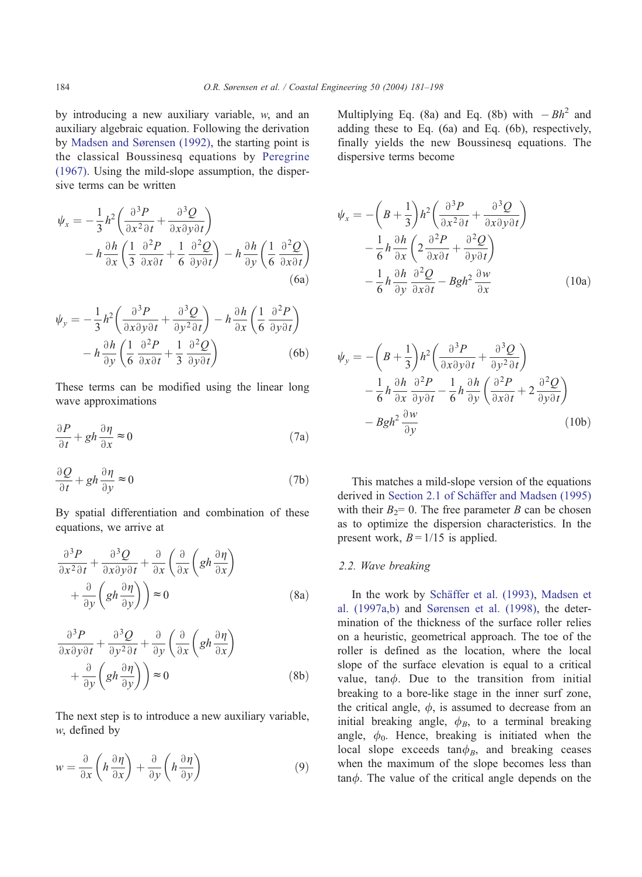by introducing a new auxiliary variable, w, and an auxiliary algebraic equation. Following the derivation by [Madsen and Sørensen \(1992\),](#page-16-0) the starting point is the classical Boussinesq equations by [Peregrine](#page-16-0) (1967). Using the mild-slope assumption, the dispersive terms can be written

$$
\psi_x = -\frac{1}{3}h^2 \left( \frac{\partial^3 P}{\partial x^2 \partial t} + \frac{\partial^3 Q}{\partial x \partial y \partial t} \right) \n- h \frac{\partial h}{\partial x} \left( \frac{1}{3} \frac{\partial^2 P}{\partial x \partial t} + \frac{1}{6} \frac{\partial^2 Q}{\partial y \partial t} \right) - h \frac{\partial h}{\partial y} \left( \frac{1}{6} \frac{\partial^2 Q}{\partial x \partial t} \right)
$$
\n(6a)

$$
\psi_y = -\frac{1}{3}h^2 \left( \frac{\partial^3 P}{\partial x \partial y \partial t} + \frac{\partial^3 Q}{\partial y^2 \partial t} \right) - h \frac{\partial h}{\partial x} \left( \frac{1}{6} \frac{\partial^2 P}{\partial y \partial t} \right) - h \frac{\partial h}{\partial y} \left( \frac{1}{6} \frac{\partial^2 P}{\partial x \partial t} + \frac{1}{3} \frac{\partial^2 Q}{\partial y \partial t} \right)
$$
(6b)

These terms can be modified using the linear long wave approximations

$$
\frac{\partial P}{\partial t} + gh \frac{\partial \eta}{\partial x} \approx 0 \tag{7a}
$$

$$
\frac{\partial Q}{\partial t} + gh \frac{\partial \eta}{\partial y} \approx 0 \tag{7b}
$$

By spatial differentiation and combination of these equations, we arrive at

$$
\frac{\partial^3 P}{\partial x^2 \partial t} + \frac{\partial^3 Q}{\partial x \partial y \partial t} + \frac{\partial}{\partial x} \left( \frac{\partial}{\partial x} \left( gh \frac{\partial \eta}{\partial x} \right) + \frac{\partial}{\partial y} \left( gh \frac{\partial \eta}{\partial y} \right) \right) \approx 0
$$
\n(8a)

$$
\frac{\partial^3 P}{\partial x \partial y \partial t} + \frac{\partial^3 Q}{\partial y^2 \partial t} + \frac{\partial}{\partial y} \left( \frac{\partial}{\partial x} \left( gh \frac{\partial \eta}{\partial x} \right) + \frac{\partial}{\partial y} \left( gh \frac{\partial \eta}{\partial y} \right) \right) \approx 0
$$
\n(8b)

The next step is to introduce a new auxiliary variable, w, defined by

$$
w = \frac{\partial}{\partial x} \left( h \frac{\partial \eta}{\partial x} \right) + \frac{\partial}{\partial y} \left( h \frac{\partial \eta}{\partial y} \right) \tag{9}
$$

Multiplying Eq. (8a) and Eq. (8b) with  $-Bh^2$  and adding these to Eq. (6a) and Eq. (6b), respectively, finally yields the new Boussinesq equations. The dispersive terms become

$$
\psi_x = -\left(B + \frac{1}{3}\right)h^2 \left(\frac{\partial^3 P}{\partial x^2 \partial t} + \frac{\partial^3 Q}{\partial x \partial y \partial t}\right) \n- \frac{1}{6}h \frac{\partial h}{\partial x} \left(2 \frac{\partial^2 P}{\partial x \partial t} + \frac{\partial^2 Q}{\partial y \partial t}\right) \n- \frac{1}{6}h \frac{\partial h}{\partial y} \frac{\partial^2 Q}{\partial x \partial t} - Bgh^2 \frac{\partial w}{\partial x}
$$
\n(10a)

$$
\psi_y = -\left(B + \frac{1}{3}\right)h^2 \left(\frac{\partial^3 P}{\partial x \partial y \partial t} + \frac{\partial^3 Q}{\partial y^2 \partial t}\right) \n- \frac{1}{6}h \frac{\partial h}{\partial x} \frac{\partial^2 P}{\partial y \partial t} - \frac{1}{6}h \frac{\partial h}{\partial y} \left(\frac{\partial^2 P}{\partial x \partial t} + 2 \frac{\partial^2 Q}{\partial y \partial t}\right) \n- Bgh^2 \frac{\partial w}{\partial y}
$$
\n(10b)

This matches a mild-slope version of the equations derived in Section 2.1 of Schäffer and Madsen (1995) with their  $B_2=0$ . The free parameter B can be chosen as to optimize the dispersion characteristics. In the present work,  $B = 1/15$  is applied.

#### 2.2. Wave breaking

In the work by Schäffer et al. (1993), [Madsen et](#page-16-0) al. (1997a,b) and [Sørensen et al. \(1998\),](#page-16-0) the determination of the thickness of the surface roller relies on a heuristic, geometrical approach. The toe of the roller is defined as the location, where the local slope of the surface elevation is equal to a critical value, tan $\phi$ . Due to the transition from initial breaking to a bore-like stage in the inner surf zone, the critical angle,  $\phi$ , is assumed to decrease from an initial breaking angle,  $\phi_B$ , to a terminal breaking angle,  $\phi_0$ . Hence, breaking is initiated when the local slope exceeds tan $\phi_B$ , and breaking ceases when the maximum of the slope becomes less than  $tan \phi$ . The value of the critical angle depends on the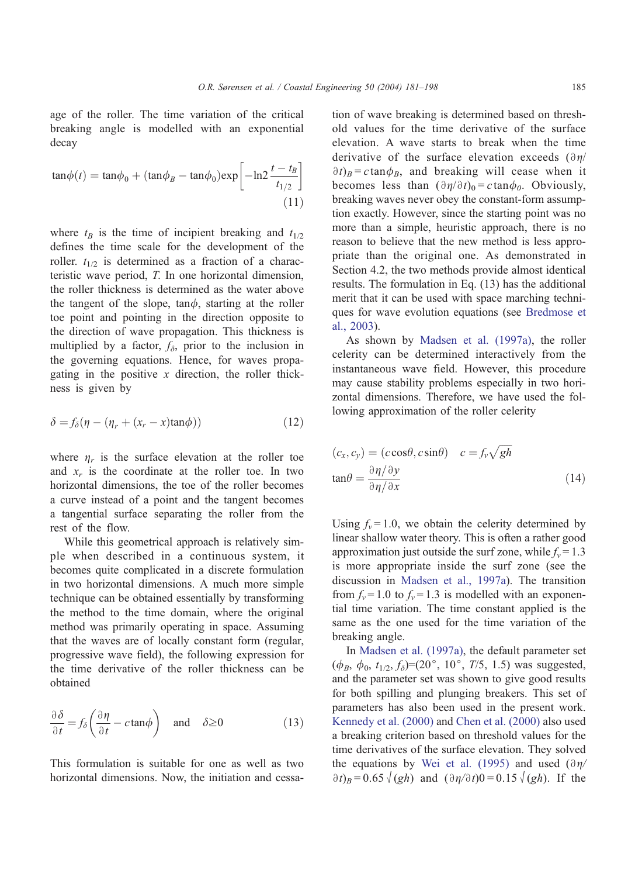age of the roller. The time variation of the critical breaking angle is modelled with an exponential decay

$$
\tan\phi(t) = \tan\phi_0 + (\tan\phi_B - \tan\phi_0)\exp\left[-\ln 2\frac{t - t_B}{t_{1/2}}\right]
$$
\n(11)

where  $t_B$  is the time of incipient breaking and  $t_{1/2}$ defines the time scale for the development of the roller.  $t_{1/2}$  is determined as a fraction of a characteristic wave period, T. In one horizontal dimension, the roller thickness is determined as the water above the tangent of the slope, tan $\phi$ , starting at the roller toe point and pointing in the direction opposite to the direction of wave propagation. This thickness is multiplied by a factor,  $f_{\delta}$ , prior to the inclusion in the governing equations. Hence, for waves propagating in the positive  $x$  direction, the roller thickness is given by

$$
\delta = f_{\delta}(\eta - (\eta_r + (x_r - x)\tan\phi))
$$
\n(12)

where  $\eta_r$  is the surface elevation at the roller toe and  $x_r$  is the coordinate at the roller toe. In two horizontal dimensions, the toe of the roller becomes a curve instead of a point and the tangent becomes a tangential surface separating the roller from the rest of the flow.

While this geometrical approach is relatively simple when described in a continuous system, it becomes quite complicated in a discrete formulation in two horizontal dimensions. A much more simple technique can be obtained essentially by transforming the method to the time domain, where the original method was primarily operating in space. Assuming that the waves are of locally constant form (regular, progressive wave field), the following expression for the time derivative of the roller thickness can be obtained

$$
\frac{\partial \delta}{\partial t} = f_{\delta} \left( \frac{\partial \eta}{\partial t} - c \tan \phi \right) \quad \text{and} \quad \delta \ge 0 \tag{13}
$$

This formulation is suitable for one as well as two horizontal dimensions. Now, the initiation and cessation of wave breaking is determined based on threshold values for the time derivative of the surface elevation. A wave starts to break when the time derivative of the surface elevation exceeds  $(\partial \eta)$  $\partial t)_B = c \tan \phi_B$ , and breaking will cease when it becomes less than  $(\partial \eta/\partial t)_0 = c \tan \phi_0$ . Obviously, breaking waves never obey the constant-form assumption exactly. However, since the starting point was no more than a simple, heuristic approach, there is no reason to believe that the new method is less appropriate than the original one. As demonstrated in Section 4.2, the two methods provide almost identical results. The formulation in Eq. (13) has the additional merit that it can be used with space marching techniques for wave evolution equations (see [Bredmose et](#page-16-0) al., 2003).

As shown by [Madsen et al. \(1997a\),](#page-16-0) the roller celerity can be determined interactively from the instantaneous wave field. However, this procedure may cause stability problems especially in two horizontal dimensions. Therefore, we have used the following approximation of the roller celerity

$$
(c_x, c_y) = (c\cos\theta, c\sin\theta) \quad c = f_v \sqrt{gh}
$$

$$
\tan\theta = \frac{\partial \eta}{\partial \eta} \frac{\partial y}{\partial x}
$$
(14)

Using  $f_v = 1.0$ , we obtain the celerity determined by linear shallow water theory. This is often a rather good approximation just outside the surf zone, while  $f<sub>v</sub> = 1.3$ is more appropriate inside the surf zone (see the discussion in [Madsen et al., 1997a\)](#page-16-0). The transition from  $f_v = 1.0$  to  $f_v = 1.3$  is modelled with an exponential time variation. The time constant applied is the same as the one used for the time variation of the breaking angle.

In [Madsen et al. \(1997a\),](#page-16-0) the default parameter set  $(\phi_B, \phi_0, t_{1/2}, f_{\delta}) = (20^{\circ}, 10^{\circ}, T/5, 1.5)$  was suggested, and the parameter set was shown to give good results for both spilling and plunging breakers. This set of parameters has also been used in the present work. [Kennedy et al. \(2000\)](#page-16-0) and [Chen et al. \(2000\)](#page-16-0) also used a breaking criterion based on threshold values for the time derivatives of the surface elevation. They solved the equations by [Wei et al. \(1995\)](#page-17-0) and used  $\left(\frac{\partial \eta}{\partial x}\right)$  $\partial t)_B = 0.65 \sqrt{(gh)}$  and  $(\partial \eta / \partial t)0 = 0.15 \sqrt{(gh)}$ . If the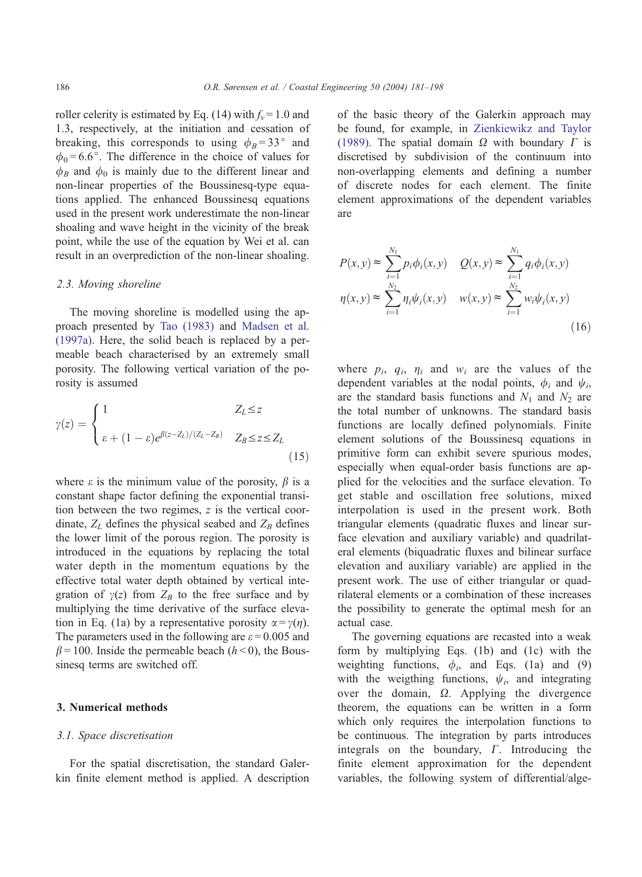roller celerity is estimated by Eq. (14) with  $f<sub>v</sub> = 1.0$  and 1.3, respectively, at the initiation and cessation of breaking, this corresponds to using  $\phi_B = 33^\circ$  and  $\phi_0 = 6.6^\circ$ . The difference in the choice of values for  $\phi_B$  and  $\phi_0$  is mainly due to the different linear and non-linear properties of the Boussinesq-type equations applied. The enhanced Boussinesq equations used in the present work underestimate the non-linear shoaling and wave height in the vicinity of the break point, while the use of the equation by Wei et al. can result in an overprediction of the non-linear shoaling.

#### 2.3. Moving shoreline

The moving shoreline is modelled using the approach presented by [Tao \(1983\)](#page-16-0) and [Madsen et al.](#page-16-0) (1997a). Here, the solid beach is replaced by a permeable beach characterised by an extremely small porosity. The following vertical variation of the porosity is assumed

$$
\gamma(z) = \begin{cases} 1 & Z_L \le z \\ \varepsilon + (1 - \varepsilon)e^{\beta(z - Z_L)/(Z_L - Z_B)} & Z_B \le z \le Z_L \end{cases}
$$
(15)

where  $\varepsilon$  is the minimum value of the porosity,  $\beta$  is a constant shape factor defining the exponential transition between the two regimes, z is the vertical coordinate,  $Z_L$  defines the physical seabed and  $Z_B$  defines the lower limit of the porous region. The porosity is introduced in the equations by replacing the total water depth in the momentum equations by the effective total water depth obtained by vertical integration of  $\gamma(z)$  from  $Z_B$  to the free surface and by multiplying the time derivative of the surface elevation in Eq. (1a) by a representative porosity  $\alpha = \gamma(\eta)$ . The parameters used in the following are  $\varepsilon = 0.005$  and  $\beta$  = 100. Inside the permeable beach (h < 0), the Boussinesq terms are switched off.

#### 3. Numerical methods

## 3.1. Space discretisation

For the spatial discretisation, the standard Galerkin finite element method is applied. A description

of the basic theory of the Galerkin approach may be found, for example, in [Zienkiewikz and Taylor](#page-17-0) (1989). The spatial domain  $\Omega$  with boundary  $\Gamma$  is discretised by subdivision of the continuum into non-overlapping elements and defining a number of discrete nodes for each element. The finite element approximations of the dependent variables are

$$
P(x, y) \approx \sum_{i=1}^{N_1} p_i \phi_i(x, y) \quad Q(x, y) \approx \sum_{i=1}^{N_1} q_i \phi_i(x, y)
$$
  

$$
\eta(x, y) \approx \sum_{i=1}^{N_2} \eta_i \psi_i(x, y) \quad w(x, y) \approx \sum_{i=1}^{N_2} w_i \psi_i(x, y)
$$
 (16)

where  $p_i$ ,  $q_i$ ,  $\eta_i$  and  $w_i$  are the values of the dependent variables at the nodal points,  $\phi_i$  and  $\psi_i$ , are the standard basis functions and  $N_1$  and  $N_2$  are the total number of unknowns. The standard basis functions are locally defined polynomials. Finite element solutions of the Boussinesq equations in primitive form can exhibit severe spurious modes, especially when equal-order basis functions are applied for the velocities and the surface elevation. To get stable and oscillation free solutions, mixed interpolation is used in the present work. Both triangular elements (quadratic fluxes and linear surface elevation and auxiliary variable) and quadrilateral elements (biquadratic fluxes and bilinear surface elevation and auxiliary variable) are applied in the present work. The use of either triangular or quadrilateral elements or a combination of these increases the possibility to generate the optimal mesh for an actual case.

The governing equations are recasted into a weak form by multiplying Eqs. (1b) and (1c) with the weighting functions,  $\phi_i$ , and Eqs. (1a) and (9) with the weigthing functions,  $\psi_i$ , and integrating over the domain,  $\Omega$ . Applying the divergence theorem, the equations can be written in a form which only requires the interpolation functions to be continuous. The integration by parts introduces integrals on the boundary,  $\Gamma$ . Introducing the finite element approximation for the dependent variables, the following system of differential/alge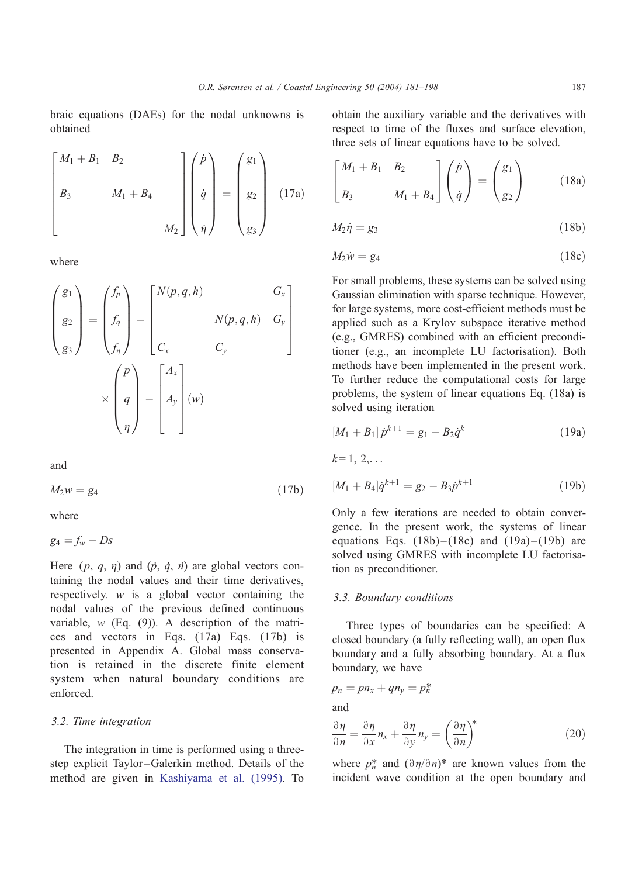braic equations (DAEs) for the nodal unknowns is obtained

$$
\begin{bmatrix} M_1 + B_1 & B_2 \ B_3 & M_1 + B_4 & \ A_2 & \ A_3 \end{bmatrix} \begin{pmatrix} \dot{p} \\ \dot{q} \\ \dot{q} \\ \dot{q} \\ g_3 \end{pmatrix} = \begin{pmatrix} g_1 \\ g_2 \\ g_3 \end{pmatrix} \quad (17a)
$$

where

$$
\begin{pmatrix} g_1 \\ g_2 \\ g_3 \end{pmatrix} = \begin{pmatrix} f_p \\ f_q \\ f_\eta \end{pmatrix} - \begin{bmatrix} N(p, q, h) & G_x \\ & N(p, q, h) & G_y \\ & & G_y \end{bmatrix}
$$

$$
\times \begin{pmatrix} p \\ q \\ \eta \end{pmatrix} - \begin{bmatrix} A_x \\ A_y \\ \eta \end{bmatrix} (w)
$$

and

$$
M_2 w = g_4 \tag{17b}
$$

where

$$
g_4 = f_w - Ds
$$

Here  $(p, q, \eta)$  and  $(\dot{p}, \dot{q}, \dot{n})$  are global vectors containing the nodal values and their time derivatives, respectively. w is a global vector containing the nodal values of the previous defined continuous variable,  $w$  (Eq. (9)). A description of the matrices and vectors in Eqs. (17a) Eqs. (17b) is presented in Appendix A. Global mass conservation is retained in the discrete finite element system when natural boundary conditions are enforced.

#### 3.2. Time integration

The integration in time is performed using a threestep explicit Taylor –Galerkin method. Details of the method are given in [Kashiyama et al. \(1995\).](#page-16-0) To obtain the auxiliary variable and the derivatives with respect to time of the fluxes and surface elevation, three sets of linear equations have to be solved.

$$
\begin{bmatrix} M_1 + B_1 & B_2 \ B_3 & M_1 + B_4 \end{bmatrix} \begin{pmatrix} \dot{p} \\ \dot{q} \end{pmatrix} = \begin{pmatrix} g_1 \\ g_2 \end{pmatrix}
$$
 (18a)

$$
M_2 \dot{\eta} = g_3 \tag{18b}
$$

$$
M_2 \dot{w} = g_4 \tag{18c}
$$

For small problems, these systems can be solved using Gaussian elimination with sparse technique. However, for large systems, more cost-efficient methods must be applied such as a Krylov subspace iterative method (e.g., GMRES) combined with an efficient preconditioner (e.g., an incomplete LU factorisation). Both methods have been implemented in the present work. To further reduce the computational costs for large problems, the system of linear equations Eq. (18a) is solved using iteration

$$
[M_1 + B_1] \dot{p}^{k+1} = g_1 - B_2 \dot{q}^k \tag{19a}
$$

 $k = 1, 2, \ldots$ 

$$
[M_1 + B_4]\dot{q}^{k+1} = g_2 - B_3\dot{p}^{k+1}
$$
 (19b)

Only a few iterations are needed to obtain convergence. In the present work, the systems of linear equations Eqs.  $(18b)$ – $(18c)$  and  $(19a)$ – $(19b)$  are solved using GMRES with incomplete LU factorisation as preconditioner.

#### 3.3. Boundary conditions

Three types of boundaries can be specified: A closed boundary (a fully reflecting wall), an open flux boundary and a fully absorbing boundary. At a flux boundary, we have

$$
p_n = pn_x + qn_y = p_n^*
$$

and

$$
\frac{\partial \eta}{\partial n} = \frac{\partial \eta}{\partial x} n_x + \frac{\partial \eta}{\partial y} n_y = \left(\frac{\partial \eta}{\partial n}\right)^* \tag{20}
$$

where  $p_n^*$  and  $(\partial \eta/\partial n)^*$  are known values from the incident wave condition at the open boundary and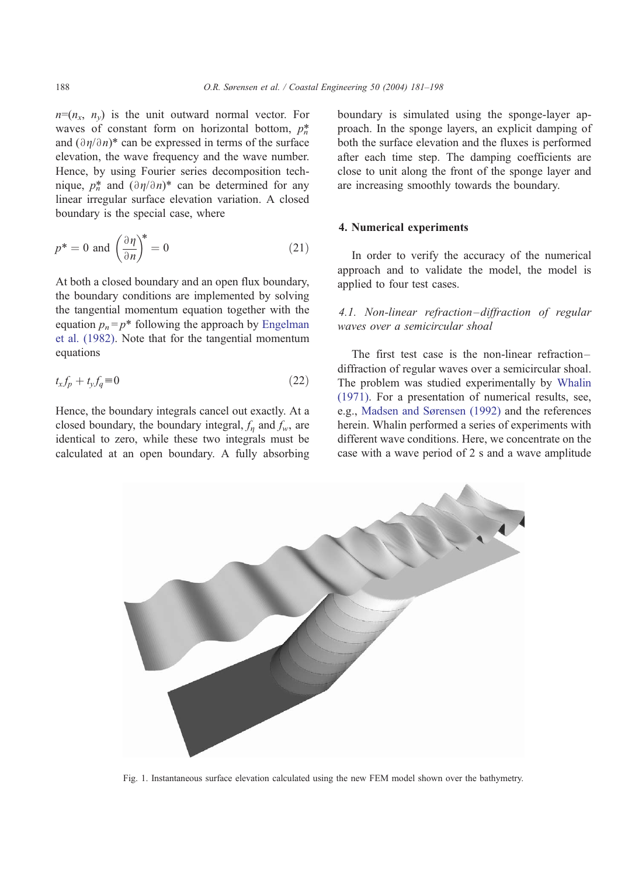<span id="page-7-0"></span> $n=(n_x, n_y)$  is the unit outward normal vector. For waves of constant form on horizontal bottom,  $p_n^*$ and  $(\partial \eta/\partial n)^*$  can be expressed in terms of the surface elevation, the wave frequency and the wave number. Hence, by using Fourier series decomposition technique,  $p_n^*$  and  $(\partial \eta/\partial n)^*$  can be determined for any linear irregular surface elevation variation. A closed boundary is the special case, where

$$
p^* = 0 \text{ and } \left(\frac{\partial \eta}{\partial n}\right)^* = 0 \tag{21}
$$

At both a closed boundary and an open flux boundary, the boundary conditions are implemented by solving the tangential momentum equation together with the equation  $p_n = p^*$  following the approach by [Engelman](#page-16-0) et al. (1982). Note that for the tangential momentum equations

$$
t_x f_p + t_y f_q \equiv 0 \tag{22}
$$

Hence, the boundary integrals cancel out exactly. At a closed boundary, the boundary integral,  $f_n$  and  $f_w$ , are identical to zero, while these two integrals must be calculated at an open boundary. A fully absorbing boundary is simulated using the sponge-layer approach. In the sponge layers, an explicit damping of both the surface elevation and the fluxes is performed after each time step. The damping coefficients are close to unit along the front of the sponge layer and are increasing smoothly towards the boundary.

## 4. Numerical experiments

In order to verify the accuracy of the numerical approach and to validate the model, the model is applied to four test cases.

# 4.1. Non-linear refraction-diffraction of regular waves over a semicircular shoal

The first test case is the non-linear refractiondiffraction of regular waves over a semicircular shoal. The problem was studied experimentally by [Whalin](#page-16-0) (1971). For a presentation of numerical results, see, e.g., [Madsen and Sørensen \(1992\)](#page-16-0) and the references herein. Whalin performed a series of experiments with different wave conditions. Here, we concentrate on the case with a wave period of 2 s and a wave amplitude



Fig. 1. Instantaneous surface elevation calculated using the new FEM model shown over the bathymetry.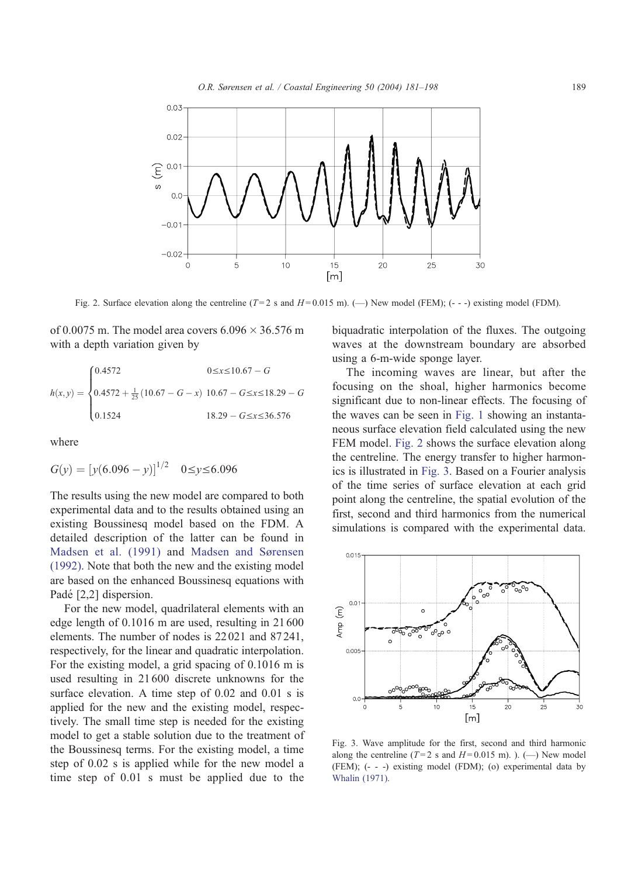

Fig. 2. Surface elevation along the centreline ( $T = 2$  s and  $H = 0.015$  m). (--) New model (FEM); (---) existing model (FDM).

of 0.0075 m. The model area covers  $6.096 \times 36.576$  m with a depth variation given by

$$
h(x,y) = \begin{cases} 0.4572 & 0 \le x \le 10.67 - G \\ 0.4572 + \frac{1}{25} (10.67 - G - x) & 10.67 - G \le x \le 18.29 - G \\ 0.1524 & 18.29 - G \le x \le 36.576 \end{cases}
$$

where

$$
G(y) = [y(6.096 - y)]^{1/2} \quad 0 \le y \le 6.096
$$

The results using the new model are compared to both experimental data and to the results obtained using an existing Boussinesq model based on the FDM. A detailed description of the latter can be found in [Madsen et al. \(1991\)](#page-16-0) and [Madsen and Sørensen](#page-16-0) (1992). Note that both the new and the existing model are based on the enhanced Boussinesq equations with Padé [2,2] dispersion.

For the new model, quadrilateral elements with an edge length of 0.1016 m are used, resulting in 21 600 elements. The number of nodes is 22 021 and 87 241, respectively, for the linear and quadratic interpolation. For the existing model, a grid spacing of 0.1016 m is used resulting in 21 600 discrete unknowns for the surface elevation. A time step of 0.02 and 0.01 s is applied for the new and the existing model, respectively. The small time step is needed for the existing model to get a stable solution due to the treatment of the Boussinesq terms. For the existing model, a time step of 0.02 s is applied while for the new model a time step of 0.01 s must be applied due to the

biquadratic interpolation of the fluxes. The outgoing waves at the downstream boundary are absorbed using a 6-m-wide sponge layer.

The incoming waves are linear, but after the focusing on the shoal, higher harmonics become significant due to non-linear effects. The focusing of the waves can be seen in [Fig. 1](#page-7-0) showing an instantaneous surface elevation field calculated using the new FEM model. Fig. 2 shows the surface elevation along the centreline. The energy transfer to higher harmonics is illustrated in Fig. 3. Based on a Fourier analysis of the time series of surface elevation at each grid point along the centreline, the spatial evolution of the first, second and third harmonics from the numerical simulations is compared with the experimental data.



Fig. 3. Wave amplitude for the first, second and third harmonic along the centreline ( $T = 2$  s and  $H = 0.015$  m). (--) New model (FEM); (- - -) existing model (FDM); (o) experimental data by [Whalin \(1971\).](#page-16-0)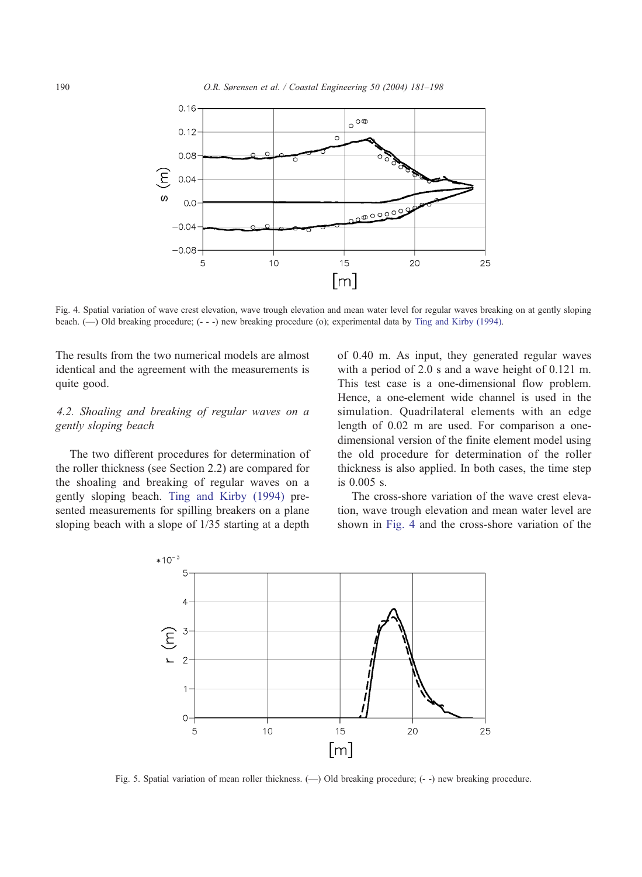<span id="page-9-0"></span>

Fig. 4. Spatial variation of wave crest elevation, wave trough elevation and mean water level for regular waves breaking on at gently sloping beach. (—) Old breaking procedure; (- - -) new breaking procedure (o); experimental data by [Ting and Kirby \(1994\).](#page-16-0)

The results from the two numerical models are almost identical and the agreement with the measurements is quite good.

# 4.2. Shoaling and breaking of regular waves on a gently sloping beach

The two different procedures for determination of the roller thickness (see Section 2.2) are compared for the shoaling and breaking of regular waves on a gently sloping beach. [Ting and Kirby \(1994\)](#page-16-0) presented measurements for spilling breakers on a plane sloping beach with a slope of 1/35 starting at a depth of 0.40 m. As input, they generated regular waves with a period of 2.0 s and a wave height of 0.121 m. This test case is a one-dimensional flow problem. Hence, a one-element wide channel is used in the simulation. Quadrilateral elements with an edge length of 0.02 m are used. For comparison a onedimensional version of the finite element model using the old procedure for determination of the roller thickness is also applied. In both cases, the time step is 0.005 s.

The cross-shore variation of the wave crest elevation, wave trough elevation and mean water level are shown in Fig. 4 and the cross-shore variation of the



Fig. 5. Spatial variation of mean roller thickness. (—) Old breaking procedure; (- -) new breaking procedure.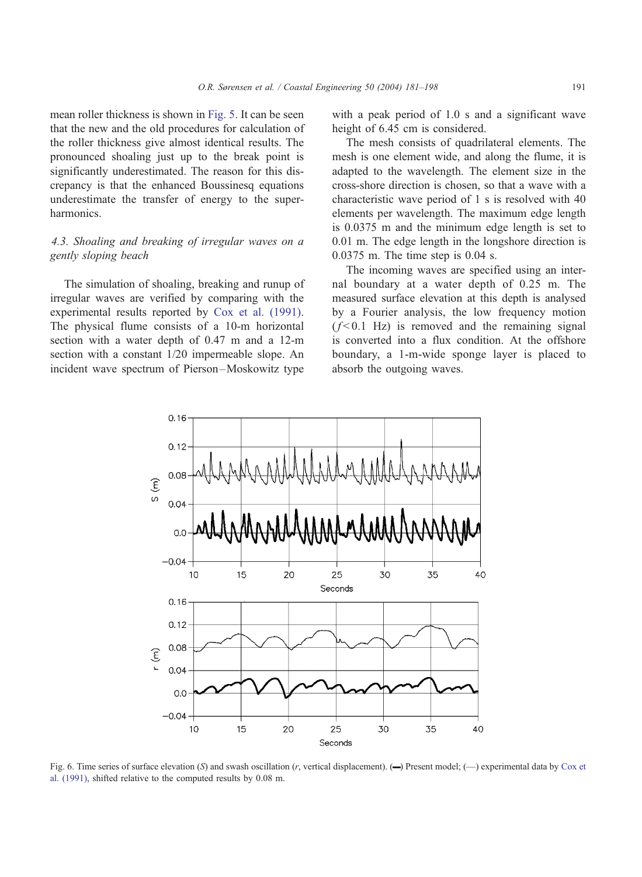<span id="page-10-0"></span>mean roller thickness is shown in [Fig. 5.](#page-9-0) It can be seen that the new and the old procedures for calculation of the roller thickness give almost identical results. The pronounced shoaling just up to the break point is significantly underestimated. The reason for this discrepancy is that the enhanced Boussinesq equations underestimate the transfer of energy to the superharmonics.

# 4.3. Shoaling and breaking of irregular waves on a gently sloping beach

The simulation of shoaling, breaking and runup of irregular waves are verified by comparing with the experimental results reported by [Cox et al. \(1991\).](#page-16-0) The physical flume consists of a 10-m horizontal section with a water depth of 0.47 m and a 12-m section with a constant 1/20 impermeable slope. An incident wave spectrum of Pierson –Moskowitz type with a peak period of 1.0 s and a significant wave height of 6.45 cm is considered.

The mesh consists of quadrilateral elements. The mesh is one element wide, and along the flume, it is adapted to the wavelength. The element size in the cross-shore direction is chosen, so that a wave with a characteristic wave period of 1 s is resolved with 40 elements per wavelength. The maximum edge length is 0.0375 m and the minimum edge length is set to 0.01 m. The edge length in the longshore direction is 0.0375 m. The time step is 0.04 s.

The incoming waves are specified using an internal boundary at a water depth of 0.25 m. The measured surface elevation at this depth is analysed by a Fourier analysis, the low frequency motion  $(f < 0.1$  Hz) is removed and the remaining signal is converted into a flux condition. At the offshore boundary, a 1-m-wide sponge layer is placed to absorb the outgoing waves.



Fig. 6. Time series of surface elevation (S) and swash oscillation (r, vertical displacement). ( $\rightarrow$  Present model; ( $\rightarrow$  experimental data by [Cox et](#page-16-0) al. (1991), shifted relative to the computed results by 0.08 m.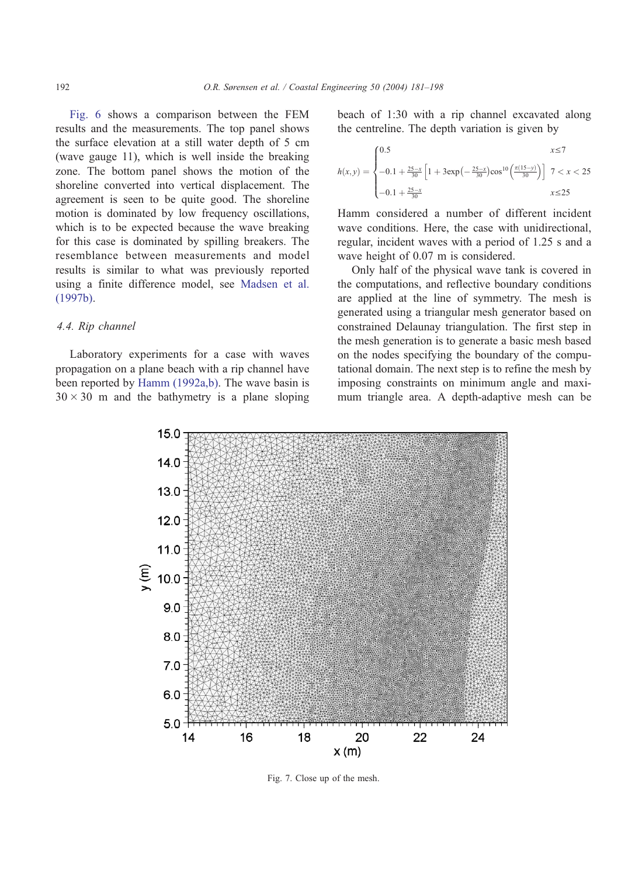<span id="page-11-0"></span>[Fig. 6](#page-10-0) shows a comparison between the FEM results and the measurements. The top panel shows the surface elevation at a still water depth of 5 cm (wave gauge 11), which is well inside the breaking zone. The bottom panel shows the motion of the shoreline converted into vertical displacement. The agreement is seen to be quite good. The shoreline motion is dominated by low frequency oscillations. which is to be expected because the wave breaking for this case is dominated by spilling breakers. The resemblance between measurements and model results is similar to what was previously reported using a finite difference model, see [Madsen et al.](#page-16-0) (1997b).

#### 4.4. Rip channel

Laboratory experiments for a case with waves propagation on a plane beach with a rip channel have been reported by [Hamm \(1992a,b\).](#page-16-0) The wave basin is  $30 \times 30$  m and the bathymetry is a plane sloping beach of 1:30 with a rip channel excavated along the centreline. The depth variation is given by

$$
h(x, y) = \begin{cases} 0.5 & x \le 7 \\ -0.1 + \frac{25 - x}{30} \left[ 1 + 3 \exp\left(-\frac{25 - x}{30}\right) \cos^{10}\left(\frac{\pi(15 - y)}{30}\right) \right] & 7 < x < 25 \\ -0.1 + \frac{25 - x}{30} & x \le 25 \end{cases}
$$

Hamm considered a number of different incident wave conditions. Here, the case with unidirectional, regular, incident waves with a period of 1.25 s and a wave height of 0.07 m is considered.

Only half of the physical wave tank is covered in the computations, and reflective boundary conditions are applied at the line of symmetry. The mesh is generated using a triangular mesh generator based on constrained Delaunay triangulation. The first step in the mesh generation is to generate a basic mesh based on the nodes specifying the boundary of the computational domain. The next step is to refine the mesh by imposing constraints on minimum angle and maximum triangle area. A depth-adaptive mesh can be



Fig. 7. Close up of the mesh.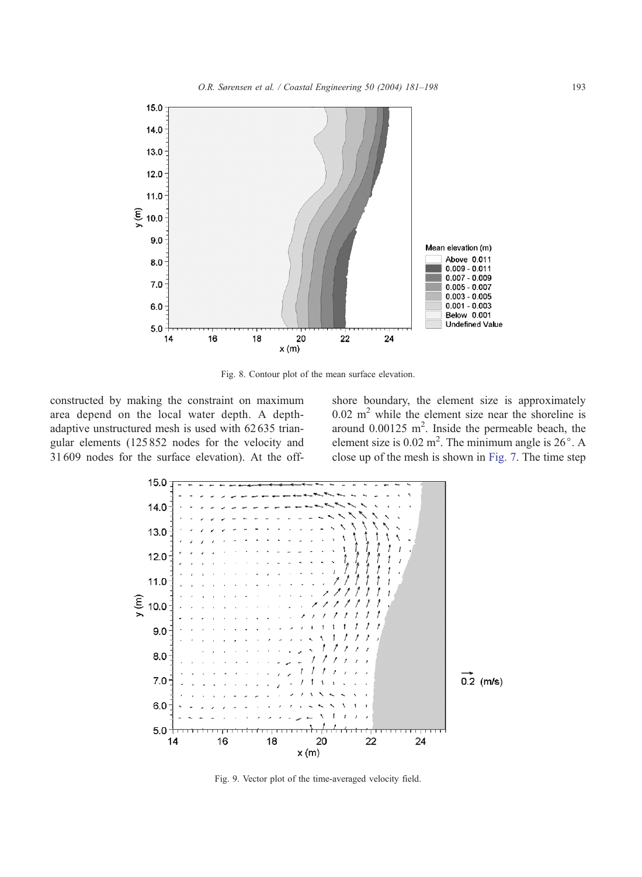<span id="page-12-0"></span>

Fig. 8. Contour plot of the mean surface elevation.

constructed by making the constraint on maximum area depend on the local water depth. A depthadaptive unstructured mesh is used with 62 635 triangular elements (125 852 nodes for the velocity and 31 609 nodes for the surface elevation). At the off-

shore boundary, the element size is approximately  $0.02$  m<sup>2</sup> while the element size near the shoreline is around  $0.00125 \text{ m}^2$ . Inside the permeable beach, the element size is  $0.02 \text{ m}^2$ . The minimum angle is  $26^\circ$ . A close up of the mesh is shown in [Fig. 7.](#page-11-0) The time step



Fig. 9. Vector plot of the time-averaged velocity field.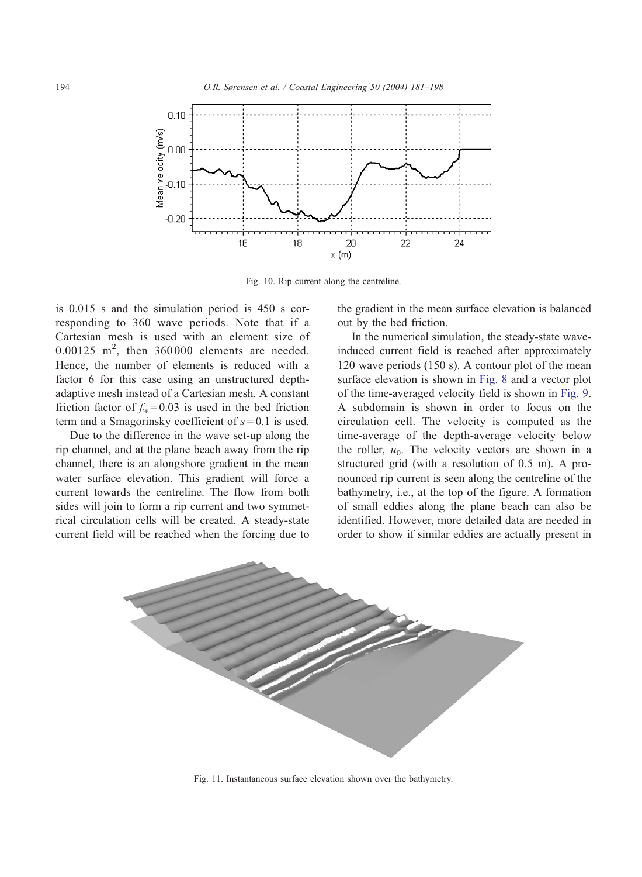<span id="page-13-0"></span>

Fig. 10. Rip current along the centreline.

is 0.015 s and the simulation period is 450 s corresponding to 360 wave periods. Note that if a Cartesian mesh is used with an element size of  $0.00125$  m<sup>2</sup>, then 360000 elements are needed. Hence, the number of elements is reduced with a factor 6 for this case using an unstructured depthadaptive mesh instead of a Cartesian mesh. A constant friction factor of  $f_w = 0.03$  is used in the bed friction term and a Smagorinsky coefficient of  $s = 0.1$  is used.

Due to the difference in the wave set-up along the rip channel, and at the plane beach away from the rip channel, there is an alongshore gradient in the mean water surface elevation. This gradient will force a current towards the centreline. The flow from both sides will join to form a rip current and two symmetrical circulation cells will be created. A steady-state current field will be reached when the forcing due to

the gradient in the mean surface elevation is balanced out by the bed friction.

In the numerical simulation, the steady-state waveinduced current field is reached after approximately 120 wave periods (150 s). A contour plot of the mean surface elevation is shown in [Fig. 8](#page-12-0) and a vector plot of the time-averaged velocity field is shown in [Fig. 9.](#page-12-0) A subdomain is shown in order to focus on the circulation cell. The velocity is computed as the time-average of the depth-average velocity below the roller,  $u_0$ . The velocity vectors are shown in a structured grid (with a resolution of 0.5 m). A pronounced rip current is seen along the centreline of the bathymetry, i.e., at the top of the figure. A formation of small eddies along the plane beach can also be identified. However, more detailed data are needed in order to show if similar eddies are actually present in



Fig. 11. Instantaneous surface elevation shown over the bathymetry.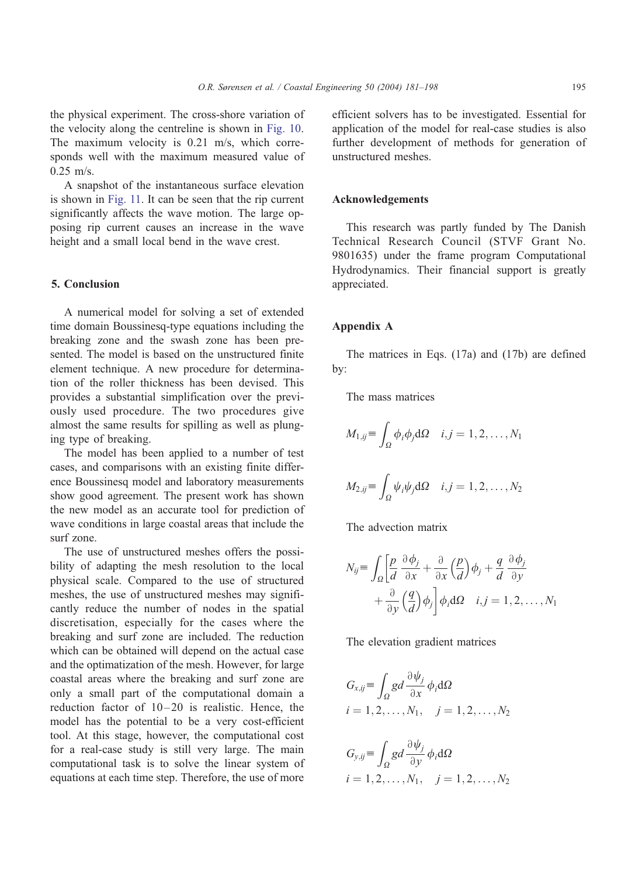the physical experiment. The cross-shore variation of the velocity along the centreline is shown in [Fig. 10.](#page-13-0) The maximum velocity is 0.21 m/s, which corresponds well with the maximum measured value of 0.25 m/s.

A snapshot of the instantaneous surface elevation is shown in [Fig. 11.](#page-13-0) It can be seen that the rip current significantly affects the wave motion. The large opposing rip current causes an increase in the wave height and a small local bend in the wave crest.

#### 5. Conclusion

A numerical model for solving a set of extended time domain Boussinesq-type equations including the breaking zone and the swash zone has been presented. The model is based on the unstructured finite element technique. A new procedure for determination of the roller thickness has been devised. This provides a substantial simplification over the previously used procedure. The two procedures give almost the same results for spilling as well as plunging type of breaking.

The model has been applied to a number of test cases, and comparisons with an existing finite difference Boussinesq model and laboratory measurements show good agreement. The present work has shown the new model as an accurate tool for prediction of wave conditions in large coastal areas that include the surf zone.

The use of unstructured meshes offers the possibility of adapting the mesh resolution to the local physical scale. Compared to the use of structured meshes, the use of unstructured meshes may significantly reduce the number of nodes in the spatial discretisation, especially for the cases where the breaking and surf zone are included. The reduction which can be obtained will depend on the actual case and the optimatization of the mesh. However, for large coastal areas where the breaking and surf zone are only a small part of the computational domain a reduction factor of  $10-20$  is realistic. Hence, the model has the potential to be a very cost-efficient tool. At this stage, however, the computational cost for a real-case study is still very large. The main computational task is to solve the linear system of equations at each time step. Therefore, the use of more

efficient solvers has to be investigated. Essential for application of the model for real-case studies is also further development of methods for generation of unstructured meshes.

# Acknowledgements

This research was partly funded by The Danish Technical Research Council (STVF Grant No. 9801635) under the frame program Computational Hydrodynamics. Their financial support is greatly appreciated.

#### Appendix A

The matrices in Eqs. (17a) and (17b) are defined by:

The mass matrices

$$
M_{1,ij} = \int_{\Omega} \phi_i \phi_j d\Omega \quad i, j = 1, 2, \dots, N_1
$$

$$
M_{2,ij} = \int_{\Omega} \psi_i \psi_j d\Omega \quad i, j = 1, 2, \dots, N_2
$$

The advection matrix

$$
N_{ij} = \int_{\Omega} \left[ \frac{p}{d} \frac{\partial \phi_j}{\partial x} + \frac{\partial}{\partial x} \left( \frac{p}{d} \right) \phi_j + \frac{q}{d} \frac{\partial \phi_j}{\partial y} + \frac{\partial}{\partial y} \left( \frac{q}{d} \right) \phi_j \right] \phi_i d\Omega \quad i, j = 1, 2, ..., N_1
$$

The elevation gradient matrices

$$
G_{x,ij} \equiv \int_{\Omega} g d \frac{\partial \psi_j}{\partial x} \phi_i d\Omega
$$
  
 $i = 1, 2, ..., N_1, \quad j = 1, 2, ..., N_2$ 

$$
G_{y,ij} \equiv \int_{\Omega} g d \frac{\partial \psi_j}{\partial y} \phi_i d\Omega
$$
  
 $i = 1, 2, ..., N_1, \quad j = 1, 2, ..., N_2$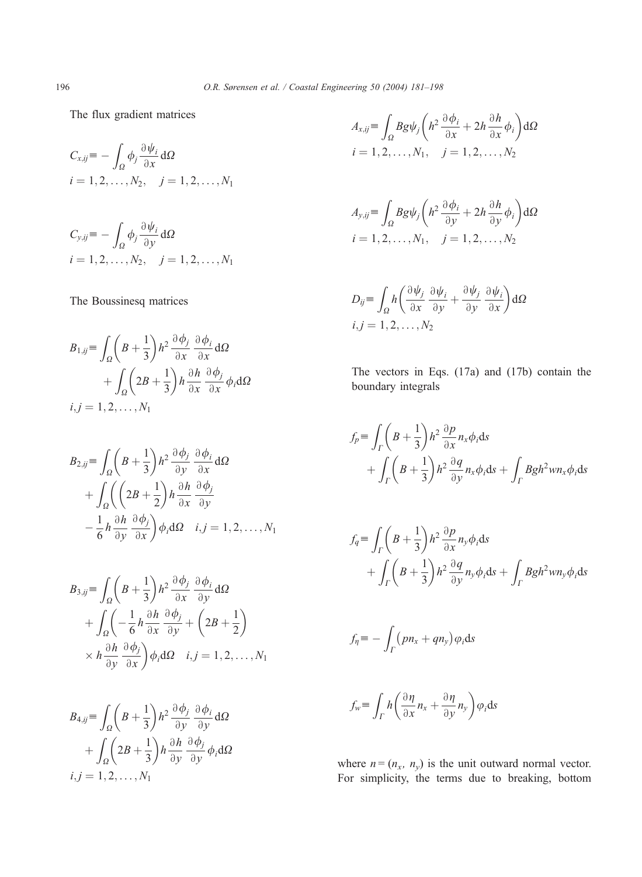The flux gradient matrices

$$
C_{x,ij} = -\int_{\Omega} \phi_j \frac{\partial \psi_i}{\partial x} d\Omega
$$
  
 $i = 1, 2, ..., N_2, j = 1, 2, ..., N_1$ 

$$
C_{y,ij} = -\int_{\Omega} \phi_j \frac{\partial \psi_i}{\partial y} d\Omega
$$
  
 $i = 1, 2, ..., N_2, \quad j = 1, 2, ..., N_1$ 

The Boussinesq matrices

$$
B_{1,ij} = \int_{\Omega} \left( B + \frac{1}{3} \right) h^2 \frac{\partial \phi_i}{\partial x} \frac{\partial \phi_i}{\partial x} d\Omega
$$
  
+ 
$$
\int_{\Omega} \left( 2B + \frac{1}{3} \right) h \frac{\partial h}{\partial x} \frac{\partial \phi_j}{\partial x} \phi_i d\Omega
$$
  
 $i, j = 1, 2, ..., N_1$ 

$$
B_{2,ij} = \int_{\Omega} \left(B + \frac{1}{3}\right) h^2 \frac{\partial \phi_j}{\partial y} \frac{\partial \phi_i}{\partial x} d\Omega
$$
  
+ 
$$
\int_{\Omega} \left(\left(2B + \frac{1}{2}\right) h \frac{\partial h}{\partial x} \frac{\partial \phi_j}{\partial y} - \frac{1}{6} h \frac{\partial h}{\partial y} \frac{\partial \phi_j}{\partial x}\right) \phi_i d\Omega \quad i,j = 1, 2, ..., N_1
$$

$$
B_{3,ij} = \int_{\Omega} \left( B + \frac{1}{3} \right) h^2 \frac{\partial \phi_j}{\partial x} \frac{\partial \phi_i}{\partial y} d\Omega
$$
  
+ 
$$
\int_{\Omega} \left( -\frac{1}{6} h \frac{\partial h}{\partial x} \frac{\partial \phi_j}{\partial y} + \left( 2B + \frac{1}{2} \right) \right.
$$
  
× 
$$
h \frac{\partial h}{\partial y} \frac{\partial \phi_j}{\partial x} \right) \phi_i d\Omega \quad i, j = 1, 2, ..., N_1
$$

$$
B_{4,ij} = \int_{\Omega} \left( B + \frac{1}{3} \right) h^2 \frac{\partial \phi_j}{\partial y} \frac{\partial \phi_i}{\partial y} d\Omega
$$
  
+ 
$$
\int_{\Omega} \left( 2B + \frac{1}{3} \right) h \frac{\partial h}{\partial y} \frac{\partial \phi_j}{\partial y} \phi_i d\Omega
$$
  
*i*, *j* = 1, 2, ..., *N*<sub>1</sub>

$$
A_{x,ij} \equiv \int_{\Omega} B g \psi_j \left( h^2 \frac{\partial \phi_i}{\partial x} + 2h \frac{\partial h}{\partial x} \phi_i \right) d\Omega
$$
  
 $i = 1, 2, ..., N_1, \quad j = 1, 2, ..., N_2$ 

$$
A_{y,ij} \equiv \int_{\Omega} Bg\psi_j \left( h^2 \frac{\partial \phi_i}{\partial y} + 2h \frac{\partial h}{\partial y} \phi_i \right) d\Omega
$$
  
 $i = 1, 2, ..., N_1, \quad j = 1, 2, ..., N_2$ 

$$
D_{ij} = \int_{\Omega} h \left( \frac{\partial \psi_j}{\partial x} \frac{\partial \psi_i}{\partial y} + \frac{\partial \psi_j}{\partial y} \frac{\partial \psi_i}{\partial x} \right) d\Omega
$$
  
 $i, j = 1, 2, ..., N_2$ 

The vectors in Eqs. (17a) and (17b) contain the boundary integrals

$$
f_p \equiv \int_{\Gamma} \left( B + \frac{1}{3} \right) h^2 \frac{\partial p}{\partial x} n_x \phi_i \, \mathrm{d}s
$$
  
+ 
$$
\int_{\Gamma} \left( B + \frac{1}{3} \right) h^2 \frac{\partial q}{\partial y} n_x \phi_i \, \mathrm{d}s + \int_{\Gamma} B g h^2 w n_x \phi_i \, \mathrm{d}s
$$

$$
f_q = \int_{\Gamma} \left( B + \frac{1}{3} \right) h^2 \frac{\partial p}{\partial x} n_y \phi_i \, ds
$$
  
+ 
$$
\int_{\Gamma} \left( B + \frac{1}{3} \right) h^2 \frac{\partial q}{\partial y} n_y \phi_i \, ds + \int_{\Gamma} Bgh^2 w n_y \phi_i \, ds
$$

$$
f_{\eta} = -\int_{\Gamma} \left(p n_x + q n_y\right) \varphi_i \mathrm{d}s
$$

$$
f_w \equiv \int_{\Gamma} h \left( \frac{\partial \eta}{\partial x} n_x + \frac{\partial \eta}{\partial y} n_y \right) \varphi_i \mathrm{d}s
$$

where  $n = (n_x, n_y)$  is the unit outward normal vector. For simplicity, the terms due to breaking, bottom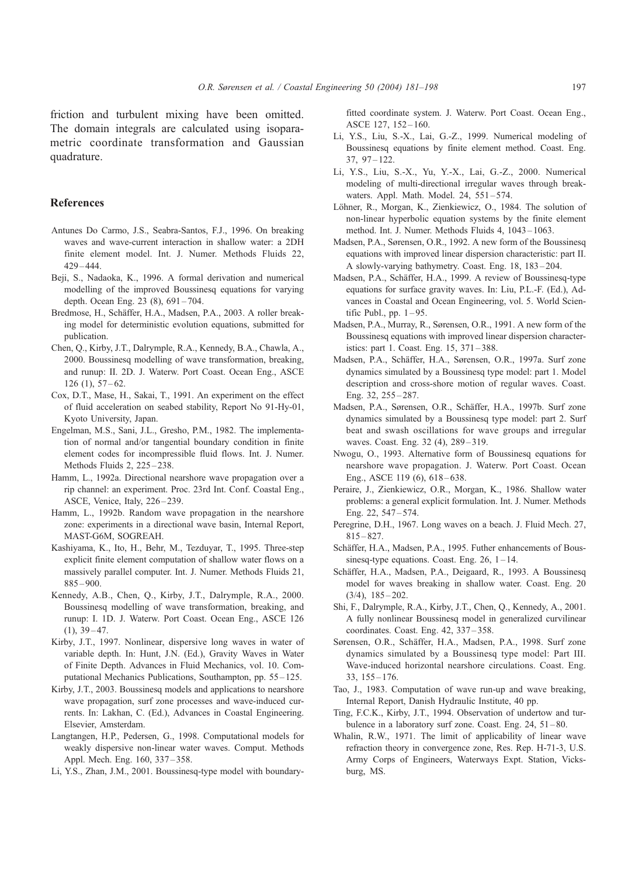<span id="page-16-0"></span>friction and turbulent mixing have been omitted. The domain integrals are calculated using isoparametric coordinate transformation and Gaussian quadrature.

# References

- Antunes Do Carmo, J.S., Seabra-Santos, F.J., 1996. On breaking waves and wave-current interaction in shallow water: a 2DH finite element model. Int. J. Numer. Methods Fluids 22, 429 – 444.
- Beji, S., Nadaoka, K., 1996. A formal derivation and numerical modelling of the improved Boussinesq equations for varying depth. Ocean Eng. 23 (8), 691-704.
- Bredmose, H., Schäffer, H.A., Madsen, P.A., 2003. A roller breaking model for deterministic evolution equations, submitted for publication.
- Chen, Q., Kirby, J.T., Dalrymple, R.A., Kennedy, B.A., Chawla, A., 2000. Boussinesq modelling of wave transformation, breaking, and runup: II. 2D. J. Waterw. Port Coast. Ocean Eng., ASCE  $126$  (1),  $57 - 62$ .
- Cox, D.T., Mase, H., Sakai, T., 1991. An experiment on the effect of fluid acceleration on seabed stability, Report No 91-Hy-01, Kyoto University, Japan.
- Engelman, M.S., Sani, J.L., Gresho, P.M., 1982. The implementation of normal and/or tangential boundary condition in finite element codes for incompressible fluid flows. Int. J. Numer. Methods Fluids 2, 225-238.
- Hamm, L., 1992a. Directional nearshore wave propagation over a rip channel: an experiment. Proc. 23rd Int. Conf. Coastal Eng., ASCE, Venice, Italy, 226 – 239.
- Hamm, L., 1992b. Random wave propagation in the nearshore zone: experiments in a directional wave basin, Internal Report, MAST-G6M, SOGREAH.
- Kashiyama, K., Ito, H., Behr, M., Tezduyar, T., 1995. Three-step explicit finite element computation of shallow water flows on a massively parallel computer. Int. J. Numer. Methods Fluids 21, 885 – 900.
- Kennedy, A.B., Chen, Q., Kirby, J.T., Dalrymple, R.A., 2000. Boussinesq modelling of wave transformation, breaking, and runup: I. 1D. J. Waterw. Port Coast. Ocean Eng., ASCE 126  $(1), 39 - 47.$
- Kirby, J.T., 1997. Nonlinear, dispersive long waves in water of variable depth. In: Hunt, J.N. (Ed.), Gravity Waves in Water of Finite Depth. Advances in Fluid Mechanics, vol. 10. Computational Mechanics Publications, Southampton, pp. 55 – 125.
- Kirby, J.T., 2003. Boussinesq models and applications to nearshore wave propagation, surf zone processes and wave-induced currents. In: Lakhan, C. (Ed.), Advances in Coastal Engineering. Elsevier, Amsterdam.
- Langtangen, H.P., Pedersen, G., 1998. Computational models for weakly dispersive non-linear water waves. Comput. Methods Appl. Mech. Eng. 160, 337 – 358.
- Li, Y.S., Zhan, J.M., 2001. Boussinesq-type model with boundary-

fitted coordinate system. J. Waterw. Port Coast. Ocean Eng., ASCE 127, 152-160.

- Li, Y.S., Liu, S.-X., Lai, G.-Z., 1999. Numerical modeling of Boussinesq equations by finite element method. Coast. Eng.  $37, 97 - 122.$
- Li, Y.S., Liu, S.-X., Yu, Y.-X., Lai, G.-Z., 2000. Numerical modeling of multi-directional irregular waves through breakwaters. Appl. Math. Model. 24, 551-574.
- Löhner, R., Morgan, K., Zienkiewicz, O., 1984. The solution of non-linear hyperbolic equation systems by the finite element method. Int. J. Numer. Methods Fluids 4, 1043 – 1063.
- Madsen, P.A., Sørensen, O.R., 1992. A new form of the Boussinesq equations with improved linear dispersion characteristic: part II. A slowly-varying bathymetry. Coast. Eng. 18, 183 – 204.
- Madsen, P.A., Schäffer, H.A., 1999. A review of Boussinesq-type equations for surface gravity waves. In: Liu, P.L.-F. (Ed.), Advances in Coastal and Ocean Engineering, vol. 5. World Scientific Publ., pp.  $1 - 95$ .
- Madsen, P.A., Murray, R., Sørensen, O.R., 1991. A new form of the Boussinesq equations with improved linear dispersion characteristics: part 1. Coast. Eng. 15, 371 – 388.
- Madsen, P.A., Schäffer, H.A., Sørensen, O.R., 1997a. Surf zone dynamics simulated by a Boussinesq type model: part 1. Model description and cross-shore motion of regular waves. Coast. Eng. 32, 255 – 287.
- Madsen, P.A., Sørensen, O.R., Schäffer, H.A., 1997b. Surf zone dynamics simulated by a Boussinesq type model: part 2. Surf beat and swash oscillations for wave groups and irregular waves. Coast. Eng. 32 (4), 289-319.
- Nwogu, O., 1993. Alternative form of Boussinesq equations for nearshore wave propagation. J. Waterw. Port Coast. Ocean Eng., ASCE 119 (6), 618-638.
- Peraire, J., Zienkiewicz, O.R., Morgan, K., 1986. Shallow water problems: a general explicit formulation. Int. J. Numer. Methods Eng. 22, 547 – 574.
- Peregrine, D.H., 1967. Long waves on a beach. J. Fluid Mech. 27,  $815 - 827.$
- Schäffer, H.A., Madsen, P.A., 1995. Futher enhancements of Boussinesq-type equations. Coast. Eng.  $26$ ,  $1-14$ .
- Schäffer, H.A., Madsen, P.A., Deigaard, R., 1993. A Boussinesq model for waves breaking in shallow water. Coast. Eng. 20  $(3/4)$ ,  $185 - 202$ .
- Shi, F., Dalrymple, R.A., Kirby, J.T., Chen, Q., Kennedy, A., 2001. A fully nonlinear Boussinesq model in generalized curvilinear coordinates. Coast. Eng. 42, 337 – 358.
- Sørensen, O.R., Schäffer, H.A., Madsen, P.A., 1998. Surf zone dynamics simulated by a Boussinesq type model: Part III. Wave-induced horizontal nearshore circulations. Coast. Eng. 33, 155 – 176.
- Tao, J., 1983. Computation of wave run-up and wave breaking, Internal Report, Danish Hydraulic Institute, 40 pp.
- Ting, F.C.K., Kirby, J.T., 1994. Observation of undertow and turbulence in a laboratory surf zone. Coast. Eng. 24, 51 – 80.
- Whalin, R.W., 1971. The limit of applicability of linear wave refraction theory in convergence zone, Res. Rep. H-71-3, U.S. Army Corps of Engineers, Waterways Expt. Station, Vicksburg, MS.